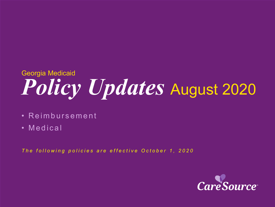# *Policy Updates* August 2020 Georgia Medicaid

- Reimbursement
- Medical

*The following policies are effective October 1, 2020*

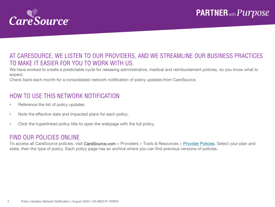

### AT CARESOURCE, WE LISTEN TO OUR PROVIDERS, AND WE STREAMLINE OUR BUSINESS PRACTICES TO MAKE IT EASIER FOR YOU TO WORK WITH US.

We have worked to create a predictable cycle for releasing administrative, medical and reimbursement policies, so you know what to expect.

Check back each month for a consolidated network notification of policy updates from CareSource.

### HOW TO USE THIS NETWORK NOTIFICATION

- Reference the list of policy updates.
- Note the effective date and impacted plans for each policy.
- Click the hyperlinked policy title to open the webpage with the full policy.

#### FIND OUR POLICIES ONLINE

To access all CareSource policies, visit CareSource.com > Providers > Tools & Resources > [Provider Policies.](https://www.caresource.com/providers/tools-resources/health-partner-policies/) Select your plan and state, then the type of policy. Each policy page has an archive where you can find previous versions of policies.